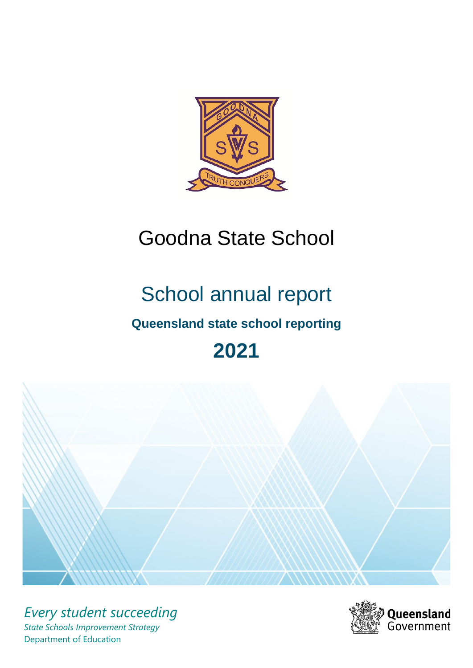

# Goodna State School

# School annual report

# **Queensland state school reporting**

# **2021**



*Every student succeeding State Schools Improvement Strategy* Department of Education

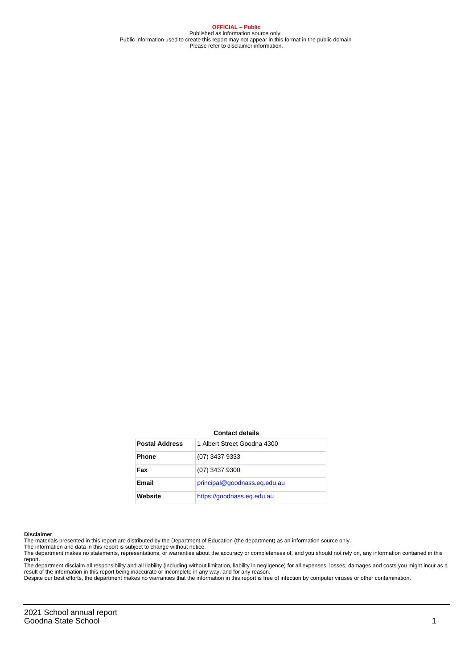**OFFICIAL – Public** Published as information source only. Public information used to create this report may not appear in this format in the public domain Please refer to disclaimer information.

#### **Contact details**

| <b>Postal Address</b> | 1 Albert Street Goodna 4300  |
|-----------------------|------------------------------|
| <b>Phone</b>          | (07) 3437 9333               |
| Fax                   | (07) 3437 9300               |
| <b>Email</b>          | principal@goodnass.eq.edu.au |
| Website               | https://goodnass.eg.edu.au   |

#### **Disclaimer**

The materials presented in this report are distributed by the Department of Education (the department) as an information source only.

The information and data in this report is subject to change without notice.<br>The department makes no statements, representations, or warranties about the accuracy or completeness of, and you should not rely on, any informa report.

The department disclaim all responsibility and all liability (including without limitation, liability in negligence) for all expenses, losses, damages and costs you might incur as a result of the information in this report being inaccurate or incomplete in any way, and for any reason. Despite our best efforts, the department makes no warranties that the information in this report is free of infection by computer viruses or other contamination.

2021 School annual report Goodna State School 1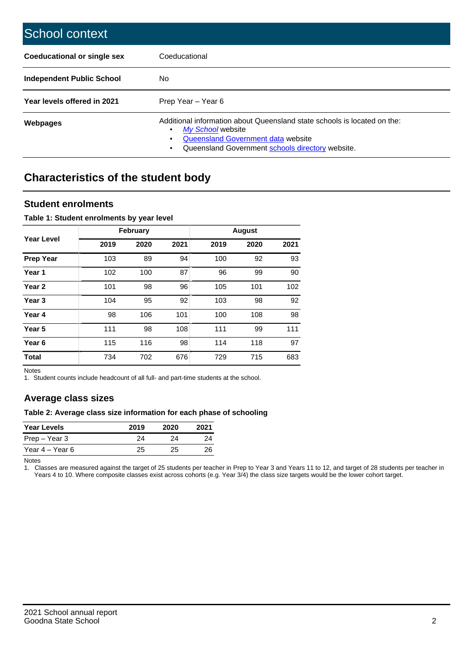| School context                   |                                                                                                                                                                                              |
|----------------------------------|----------------------------------------------------------------------------------------------------------------------------------------------------------------------------------------------|
| Coeducational or single sex      | Coeducational                                                                                                                                                                                |
| <b>Independent Public School</b> | No.                                                                                                                                                                                          |
| Year levels offered in 2021      | Prep Year - Year 6                                                                                                                                                                           |
| Webpages                         | Additional information about Queensland state schools is located on the:<br>My School website<br>Queensland Government data website<br>Queensland Government schools directory website.<br>٠ |

# **Characteristics of the student body**

### **Student enrolments**

#### **Table 1: Student enrolments by year level**

|                   |      | <b>February</b> |      |      | <b>August</b> |      |
|-------------------|------|-----------------|------|------|---------------|------|
| Year Level        | 2019 | 2020            | 2021 | 2019 | 2020          | 2021 |
| <b>Prep Year</b>  | 103  | 89              | 94   | 100  | 92            | 93   |
| Year <sub>1</sub> | 102  | 100             | 87   | 96   | 99            | 90   |
| Year 2            | 101  | 98              | 96   | 105  | 101           | 102  |
| Year <sub>3</sub> | 104  | 95              | 92   | 103  | 98            | 92   |
| Year 4            | 98   | 106             | 101  | 100  | 108           | 98   |
| Year <sub>5</sub> | 111  | 98              | 108  | 111  | 99            | 111  |
| Year <sub>6</sub> | 115  | 116             | 98   | 114  | 118           | 97   |
| <b>Total</b>      | 734  | 702             | 676  | 729  | 715           | 683  |

Notes

1. Student counts include headcount of all full- and part-time students at the school.

## **Average class sizes**

#### **Table 2: Average class size information for each phase of schooling**

| <b>Year Levels</b> | 2019 | 2020 | 2021 |
|--------------------|------|------|------|
| Prep – Year 3      | 24   | 24   | 24   |
| Year 4 – Year 6    | 25   | 25.  | 26   |

Notes

1. Classes are measured against the target of 25 students per teacher in Prep to Year 3 and Years 11 to 12, and target of 28 students per teacher in Years 4 to 10. Where composite classes exist across cohorts (e.g. Year 3/4) the class size targets would be the lower cohort target.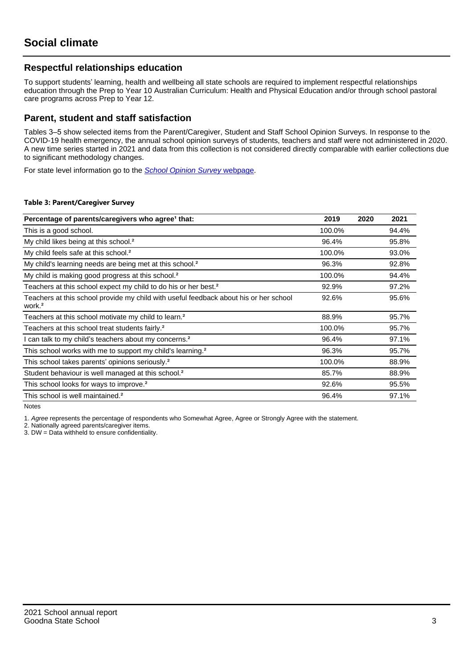## **Respectful relationships education**

To support students' learning, health and wellbeing all state schools are required to implement respectful relationships education through the Prep to Year 10 Australian Curriculum: Health and Physical Education and/or through school pastoral care programs across Prep to Year 12.

### **Parent, student and staff satisfaction**

Tables 3–5 show selected items from the Parent/Caregiver, Student and Staff School Opinion Surveys. In response to the COVID-19 health emergency, the annual school opinion surveys of students, teachers and staff were not administered in 2020. A new time series started in 2021 and data from this collection is not considered directly comparable with earlier collections due to significant methodology changes.

For state level information go to the **[School Opinion Survey](https://qed.qld.gov.au/publications/reports/statistics/schooling/schools/schoolopinionsurvey) webpage**.

#### **Table 3: Parent/Caregiver Survey**

| Percentage of parents/caregivers who agree <sup>1</sup> that:                                               | 2019   | 2020 | 2021  |
|-------------------------------------------------------------------------------------------------------------|--------|------|-------|
| This is a good school.                                                                                      | 100.0% |      | 94.4% |
| My child likes being at this school. <sup>2</sup>                                                           | 96.4%  |      | 95.8% |
| My child feels safe at this school. <sup>2</sup>                                                            | 100.0% |      | 93.0% |
| My child's learning needs are being met at this school. <sup>2</sup>                                        | 96.3%  |      | 92.8% |
| My child is making good progress at this school. <sup>2</sup>                                               | 100.0% |      | 94.4% |
| Teachers at this school expect my child to do his or her best. <sup>2</sup>                                 | 92.9%  |      | 97.2% |
| Teachers at this school provide my child with useful feedback about his or her school<br>work. <sup>2</sup> | 92.6%  |      | 95.6% |
| Teachers at this school motivate my child to learn. <sup>2</sup>                                            | 88.9%  |      | 95.7% |
| Teachers at this school treat students fairly. <sup>2</sup>                                                 | 100.0% |      | 95.7% |
| I can talk to my child's teachers about my concerns. <sup>2</sup>                                           | 96.4%  |      | 97.1% |
| This school works with me to support my child's learning. <sup>2</sup>                                      | 96.3%  |      | 95.7% |
| This school takes parents' opinions seriously. <sup>2</sup>                                                 | 100.0% |      | 88.9% |
| Student behaviour is well managed at this school. <sup>2</sup>                                              | 85.7%  |      | 88.9% |
| This school looks for ways to improve. <sup>2</sup>                                                         | 92.6%  |      | 95.5% |
| This school is well maintained. <sup>2</sup>                                                                | 96.4%  |      | 97.1% |

Notes

1. Agree represents the percentage of respondents who Somewhat Agree, Agree or Strongly Agree with the statement.

2. Nationally agreed parents/caregiver items.

3. DW = Data withheld to ensure confidentiality.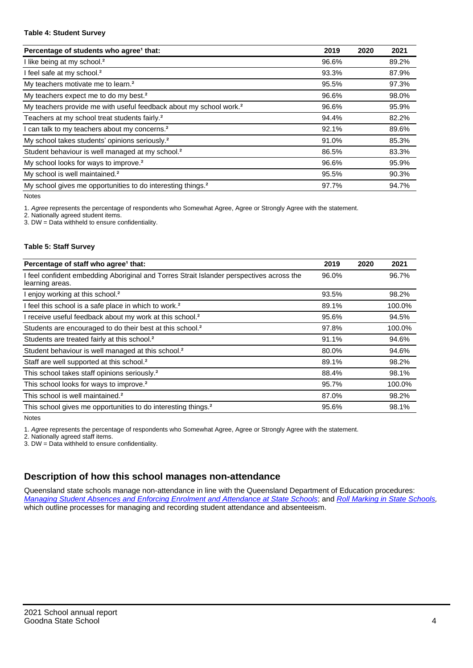#### **Table 4: Student Survey**

| Percentage of students who agree <sup>1</sup> that:                            | 2019  | 2020 | 2021  |
|--------------------------------------------------------------------------------|-------|------|-------|
| I like being at my school. <sup>2</sup>                                        | 96.6% |      | 89.2% |
| I feel safe at my school. <sup>2</sup>                                         | 93.3% |      | 87.9% |
| My teachers motivate me to learn. <sup>2</sup>                                 | 95.5% |      | 97.3% |
| My teachers expect me to do my best. <sup>2</sup>                              | 96.6% |      | 98.0% |
| My teachers provide me with useful feedback about my school work. <sup>2</sup> | 96.6% |      | 95.9% |
| Teachers at my school treat students fairly. <sup>2</sup>                      | 94.4% |      | 82.2% |
| I can talk to my teachers about my concerns. <sup>2</sup>                      | 92.1% |      | 89.6% |
| My school takes students' opinions seriously. <sup>2</sup>                     | 91.0% |      | 85.3% |
| Student behaviour is well managed at my school. <sup>2</sup>                   | 86.5% |      | 83.3% |
| My school looks for ways to improve. <sup>2</sup>                              | 96.6% |      | 95.9% |
| My school is well maintained. <sup>2</sup>                                     | 95.5% |      | 90.3% |
| My school gives me opportunities to do interesting things. <sup>2</sup>        | 97.7% |      | 94.7% |

Notes

1. Agree represents the percentage of respondents who Somewhat Agree, Agree or Strongly Agree with the statement.

2. Nationally agreed student items.

3. DW = Data withheld to ensure confidentiality.

#### **Table 5: Staff Survey**

| Percentage of staff who agree <sup>1</sup> that:                                                            | 2019  | 2020 | 2021   |
|-------------------------------------------------------------------------------------------------------------|-------|------|--------|
| I feel confident embedding Aboriginal and Torres Strait Islander perspectives across the<br>learning areas. | 96.0% |      | 96.7%  |
| I enjoy working at this school. <sup>2</sup>                                                                | 93.5% |      | 98.2%  |
| I feel this school is a safe place in which to work. <sup>2</sup>                                           | 89.1% |      | 100.0% |
| I receive useful feedback about my work at this school. <sup>2</sup>                                        | 95.6% |      | 94.5%  |
| Students are encouraged to do their best at this school. <sup>2</sup>                                       | 97.8% |      | 100.0% |
| Students are treated fairly at this school. <sup>2</sup>                                                    | 91.1% |      | 94.6%  |
| Student behaviour is well managed at this school. <sup>2</sup>                                              | 80.0% |      | 94.6%  |
| Staff are well supported at this school. <sup>2</sup>                                                       | 89.1% |      | 98.2%  |
| This school takes staff opinions seriously. <sup>2</sup>                                                    | 88.4% |      | 98.1%  |
| This school looks for ways to improve. <sup>2</sup>                                                         | 95.7% |      | 100.0% |
| This school is well maintained. <sup>2</sup>                                                                | 87.0% |      | 98.2%  |
| This school gives me opportunities to do interesting things. <sup>2</sup>                                   | 95.6% |      | 98.1%  |

Notes

1. Agree represents the percentage of respondents who Somewhat Agree, Agree or Strongly Agree with the statement.

2. Nationally agreed staff items.

3. DW = Data withheld to ensure confidentiality.

## **Description of how this school manages non-attendance**

Queensland state schools manage non-attendance in line with the Queensland Department of Education procedures: [Managing Student Absences and Enforcing Enrolment and Attendance at State Schools](https://ppr.qed.qld.gov.au/pp/managing-student-absences-and-enforcing-enrolment-and-attendance-at-state-schools-procedure); and [Roll Marking in State Schools,](https://ppr.qed.qld.gov.au/pp/roll-marking-in-state-schools-procedure) which outline processes for managing and recording student attendance and absenteeism.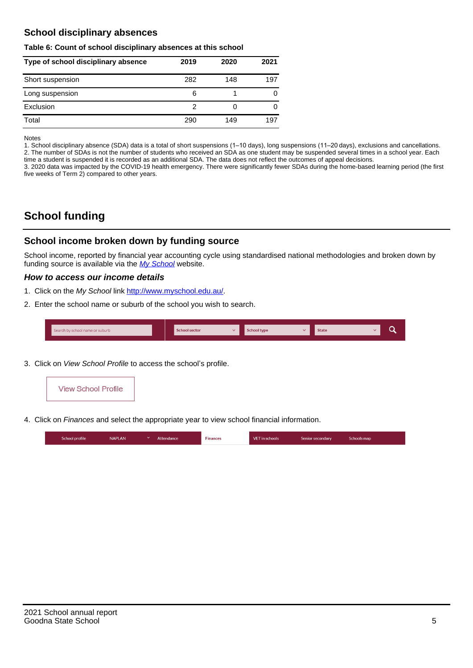## **School disciplinary absences**

#### **Table 6: Count of school disciplinary absences at this school**

| Type of school disciplinary absence | 2019 | 2020 | 2021 |
|-------------------------------------|------|------|------|
| Short suspension                    | 282  | 148  | 197  |
| Long suspension                     | 6    |      |      |
| Exclusion                           | 2    | U    |      |
| Total                               | 290  | 149  | 197  |

Notes

1. School disciplinary absence (SDA) data is a total of short suspensions (1–10 days), long suspensions (11–20 days), exclusions and cancellations. 2. The number of SDAs is not the number of students who received an SDA as one student may be suspended several times in a school year. Each time a student is suspended it is recorded as an additional SDA. The data does not reflect the outcomes of appeal decisions.

3. 2020 data was impacted by the COVID-19 health emergency. There were significantly fewer SDAs during the home-based learning period (the first five weeks of Term 2) compared to other years.

# **School funding**

## **School income broken down by funding source**

School income, reported by financial year accounting cycle using standardised national methodologies and broken down by funding source is available via the  $My$  School website.

#### **How to access our income details**

- 1. Click on the My School link <http://www.myschool.edu.au/>.
- 2. Enter the school name or suburb of the school you wish to search.

|  | Search by school name or suburb |  | <b>School sector</b> |  | $\sim$ and $\sim$ represents the set of $\sim$ | <b>State</b> |  |  |  |
|--|---------------------------------|--|----------------------|--|------------------------------------------------|--------------|--|--|--|
|--|---------------------------------|--|----------------------|--|------------------------------------------------|--------------|--|--|--|

3. Click on View School Profile to access the school's profile.



4. Click on Finances and select the appropriate year to view school financial information.

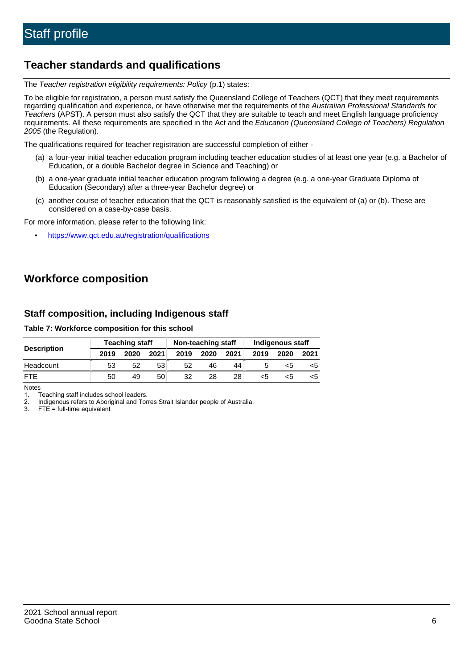# **Teacher standards and qualifications**

The Teacher registration eligibility requirements: Policy (p.1) states:

To be eligible for registration, a person must satisfy the Queensland College of Teachers (QCT) that they meet requirements regarding qualification and experience, or have otherwise met the requirements of the Australian Professional Standards for Teachers (APST). A person must also satisfy the QCT that they are suitable to teach and meet English language proficiency requirements. All these requirements are specified in the Act and the Education (Queensland College of Teachers) Regulation 2005 (the Regulation).

The qualifications required for teacher registration are successful completion of either -

- (a) a four-year initial teacher education program including teacher education studies of at least one year (e.g. a Bachelor of Education, or a double Bachelor degree in Science and Teaching) or
- (b) a one-year graduate initial teacher education program following a degree (e.g. a one-year Graduate Diploma of Education (Secondary) after a three-year Bachelor degree) or
- (c) another course of teacher education that the QCT is reasonably satisfied is the equivalent of (a) or (b). These are considered on a case-by-case basis.

For more information, please refer to the following link:

• <https://www.qct.edu.au/registration/qualifications>

# **Workforce composition**

## **Staff composition, including Indigenous staff**

#### **Table 7: Workforce composition for this school**

|                    |      | <b>Teaching staff</b> |      | Non-teaching staff |      |      | Indigenous staff |      |      |
|--------------------|------|-----------------------|------|--------------------|------|------|------------------|------|------|
| <b>Description</b> | 2019 | 2020                  | 2021 | 2019               | 2020 | 2021 | 2019             | 2020 | 2021 |
| Headcount          | 53   | 52                    | 53   | 52                 | 46   | 44   |                  | <5   |      |
| <b>FTF</b>         | 50   | 49                    | 50   | 32                 | 28   | 28   | <5               | ה>   |      |

Notes

1. Teaching staff includes school leaders.

2. Indigenous refers to Aboriginal and Torres Strait Islander people of Australia.

3. FTE = full-time equivalent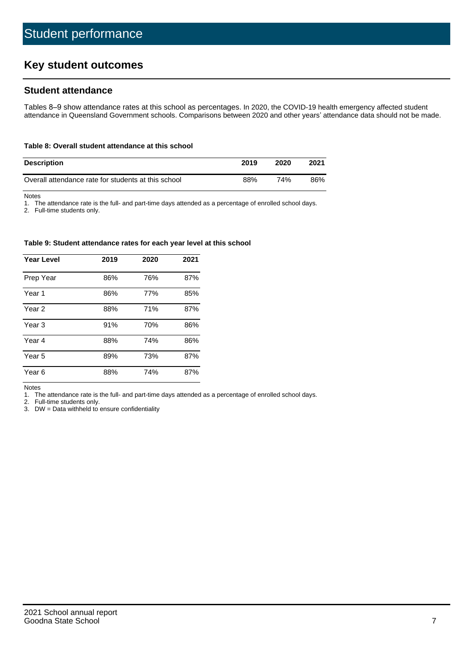# **Key student outcomes**

## **Student attendance**

Tables 8–9 show attendance rates at this school as percentages. In 2020, the COVID-19 health emergency affected student attendance in Queensland Government schools. Comparisons between 2020 and other years' attendance data should not be made.

#### **Table 8: Overall student attendance at this school**

| <b>Description</b>                                  | 2019 | 2020 | 2021 |
|-----------------------------------------------------|------|------|------|
| Overall attendance rate for students at this school | 88%  | 74%  | 86%  |

Notes

1. The attendance rate is the full- and part-time days attended as a percentage of enrolled school days.

2. Full-time students only.

#### **Table 9: Student attendance rates for each year level at this school**

| <b>Year Level</b> | 2019 | 2020 | 2021 |
|-------------------|------|------|------|
| Prep Year         | 86%  | 76%  | 87%  |
| Year <sub>1</sub> | 86%  | 77%  | 85%  |
| Year 2            | 88%  | 71%  | 87%  |
| Year <sub>3</sub> | 91%  | 70%  | 86%  |
| Year 4            | 88%  | 74%  | 86%  |
| Year 5            | 89%  | 73%  | 87%  |
| Year <sub>6</sub> | 88%  | 74%  | 87%  |

Notes

1. The attendance rate is the full- and part-time days attended as a percentage of enrolled school days.

2. Full-time students only.

3. DW = Data withheld to ensure confidentiality